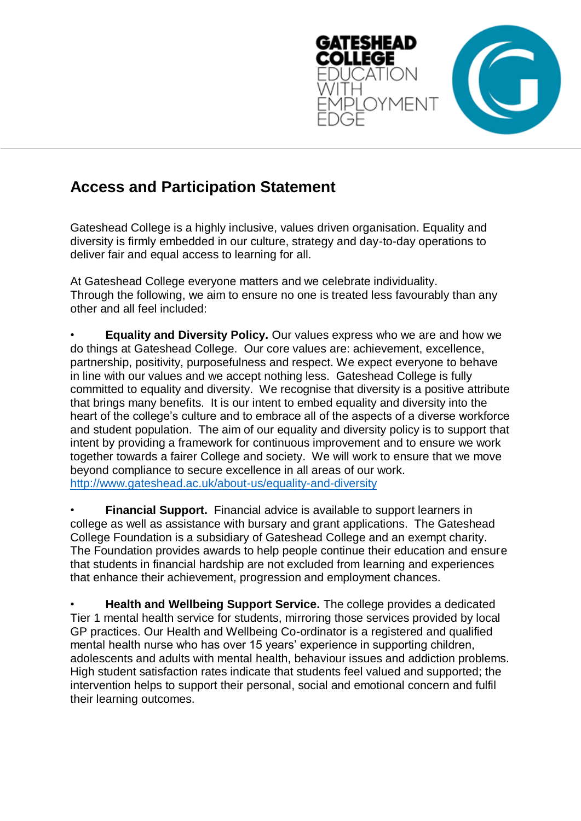

## **Access and Participation Statement**

Gateshead College is a highly inclusive, values driven organisation. Equality and diversity is firmly embedded in our culture, strategy and day-to-day operations to deliver fair and equal access to learning for all.

At Gateshead College everyone matters and we celebrate individuality. Through the following, we aim to ensure no one is treated less favourably than any other and all feel included:

• **Equality and Diversity Policy.** Our values express who we are and how we do things at Gateshead College. Our core values are: achievement, excellence, partnership, positivity, purposefulness and respect. We expect everyone to behave in line with our values and we accept nothing less. Gateshead College is fully committed to equality and diversity. We recognise that diversity is a positive attribute that brings many benefits. It is our intent to embed equality and diversity into the heart of the college's culture and to embrace all of the aspects of a diverse workforce and student population. The aim of our equality and diversity policy is to support that intent by providing a framework for continuous improvement and to ensure we work together towards a fairer College and society. We will work to ensure that we move beyond compliance to secure excellence in all areas of our work. <http://www.gateshead.ac.uk/about-us/equality-and-diversity>

• **Financial Support.** Financial advice is available to support learners in college as well as assistance with bursary and grant applications. The Gateshead College Foundation is a subsidiary of Gateshead College and an exempt charity. The Foundation provides awards to help people continue their education and ensure that students in financial hardship are not excluded from learning and experiences that enhance their achievement, progression and employment chances.

• **Health and Wellbeing Support Service.** The college provides a dedicated Tier 1 mental health service for students, mirroring those services provided by local GP practices. Our Health and Wellbeing Co-ordinator is a registered and qualified mental health nurse who has over 15 years' experience in supporting children, adolescents and adults with mental health, behaviour issues and addiction problems. High student satisfaction rates indicate that students feel valued and supported; the intervention helps to support their personal, social and emotional concern and fulfil their learning outcomes.